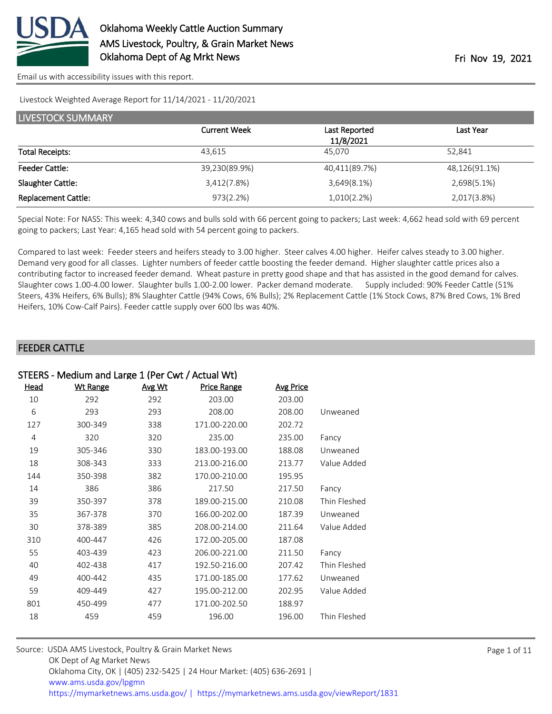

#### Livestock Weighted Average Report for 11/14/2021 - 11/20/2021

| <b>LIVESTOCK SUMMARY</b>   |                     |               |               |  |  |
|----------------------------|---------------------|---------------|---------------|--|--|
|                            | <b>Current Week</b> | Last Reported | Last Year     |  |  |
|                            |                     | 11/8/2021     |               |  |  |
| <b>Total Receipts:</b>     | 43.615              | 45.070        | 52.841        |  |  |
| <b>Feeder Cattle:</b>      | 39,230(89.9%)       | 40,411(89.7%) | 48,126(91.1%) |  |  |
| Slaughter Cattle:          | 3,412(7.8%)         | 3,649(8.1%)   | 2,698(5.1%)   |  |  |
| <b>Replacement Cattle:</b> | 973(2.2%)           | 1,010(2.2%)   | 2,017(3.8%)   |  |  |

Special Note: For NASS: This week: 4,340 cows and bulls sold with 66 percent going to packers; Last week: 4,662 head sold with 69 percent going to packers; Last Year: 4,165 head sold with 54 percent going to packers.

Compared to last week: Feeder steers and heifers steady to 3.00 higher. Steer calves 4.00 higher. Heifer calves steady to 3.00 higher. Demand very good for all classes. Lighter numbers of feeder cattle boosting the feeder demand. Higher slaughter cattle prices also a contributing factor to increased feeder demand. Wheat pasture in pretty good shape and that has assisted in the good demand for calves. Slaughter cows 1.00-4.00 lower. Slaughter bulls 1.00-2.00 lower. Packer demand moderate. Supply included: 90% Feeder Cattle (51% Steers, 43% Heifers, 6% Bulls); 8% Slaughter Cattle (94% Cows, 6% Bulls); 2% Replacement Cattle (1% Stock Cows, 87% Bred Cows, 1% Bred Heifers, 10% Cow-Calf Pairs). Feeder cattle supply over 600 lbs was 40%.

#### FEEDER CATTLE

| STEERS - Medium and Large 1 (Per Cwt / Actual Wt) |                 |        |                    |                  |              |  |
|---------------------------------------------------|-----------------|--------|--------------------|------------------|--------------|--|
| <u>Head</u>                                       | <b>Wt Range</b> | Avg Wt | <b>Price Range</b> | <b>Avg Price</b> |              |  |
| 10                                                | 292             | 292    | 203.00             | 203.00           |              |  |
| 6                                                 | 293             | 293    | 208.00             | 208.00           | Unweaned     |  |
| 127                                               | 300-349         | 338    | 171.00-220.00      | 202.72           |              |  |
| 4                                                 | 320             | 320    | 235.00             | 235.00           | Fancy        |  |
| 19                                                | 305-346         | 330    | 183.00-193.00      | 188.08           | Unweaned     |  |
| 18                                                | 308-343         | 333    | 213.00-216.00      | 213.77           | Value Added  |  |
| 144                                               | 350-398         | 382    | 170.00-210.00      | 195.95           |              |  |
| 14                                                | 386             | 386    | 217.50             | 217.50           | Fancy        |  |
| 39                                                | 350-397         | 378    | 189.00-215.00      | 210.08           | Thin Fleshed |  |
| 35                                                | 367-378         | 370    | 166.00-202.00      | 187.39           | Unweaned     |  |
| 30                                                | 378-389         | 385    | 208.00-214.00      | 211.64           | Value Added  |  |
| 310                                               | 400-447         | 426    | 172.00-205.00      | 187.08           |              |  |
| 55                                                | 403-439         | 423    | 206.00-221.00      | 211.50           | Fancy        |  |
| 40                                                | 402-438         | 417    | 192.50-216.00      | 207.42           | Thin Fleshed |  |
| 49                                                | 400-442         | 435    | 171.00-185.00      | 177.62           | Unweaned     |  |
| 59                                                | 409-449         | 427    | 195.00-212.00      | 202.95           | Value Added  |  |
| 801                                               | 450-499         | 477    | 171.00-202.50      | 188.97           |              |  |
| 18                                                | 459             | 459    | 196.00             | 196.00           | Thin Fleshed |  |

| Source: USDA AMS Livestock, Poultry & Grain Market News                                |
|----------------------------------------------------------------------------------------|
| OK Dept of Ag Market News                                                              |
| Oklahoma City, OK   (405) 232-5425   24 Hour Market: (405) 636-2691                    |
| www.ams.usda.gov/lpgmn                                                                 |
| https://mymarketnews.ams.usda.gov/   https://mymarketnews.ams.usda.gov/viewReport/1831 |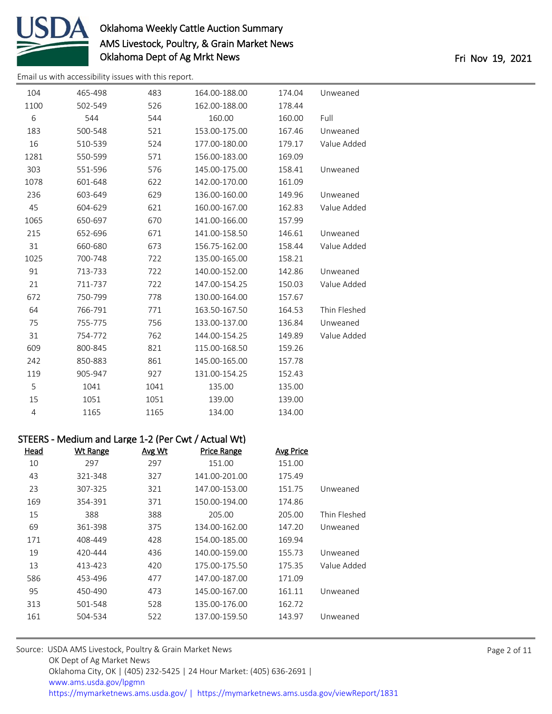

[Email us with accessibility issues with this report.](mailto:mars@ams.usda.gov?subject=508%20issue)

| 104            | 465-498 | 483  | 164.00-188.00 | 174.04 | Unweaned     |
|----------------|---------|------|---------------|--------|--------------|
| 1100           | 502-549 | 526  | 162.00-188.00 | 178.44 |              |
| 6              | 544     | 544  | 160.00        | 160.00 | Full         |
| 183            | 500-548 | 521  | 153.00-175.00 | 167.46 | Unweaned     |
| 16             | 510-539 | 524  | 177.00-180.00 | 179.17 | Value Added  |
| 1281           | 550-599 | 571  | 156.00-183.00 | 169.09 |              |
| 303            | 551-596 | 576  | 145.00-175.00 | 158.41 | Unweaned     |
| 1078           | 601-648 | 622  | 142.00-170.00 | 161.09 |              |
| 236            | 603-649 | 629  | 136.00-160.00 | 149.96 | Unweaned     |
| 45             | 604-629 | 621  | 160.00-167.00 | 162.83 | Value Added  |
| 1065           | 650-697 | 670  | 141.00-166.00 | 157.99 |              |
| 215            | 652-696 | 671  | 141.00-158.50 | 146.61 | Unweaned     |
| 31             | 660-680 | 673  | 156.75-162.00 | 158.44 | Value Added  |
| 1025           | 700-748 | 722  | 135.00-165.00 | 158.21 |              |
| 91             | 713-733 | 722  | 140.00-152.00 | 142.86 | Unweaned     |
| 21             | 711-737 | 722  | 147.00-154.25 | 150.03 | Value Added  |
| 672            | 750-799 | 778  | 130.00-164.00 | 157.67 |              |
| 64             | 766-791 | 771  | 163.50-167.50 | 164.53 | Thin Fleshed |
| 75             | 755-775 | 756  | 133.00-137.00 | 136.84 | Unweaned     |
| 31             | 754-772 | 762  | 144.00-154.25 | 149.89 | Value Added  |
| 609            | 800-845 | 821  | 115.00-168.50 | 159.26 |              |
| 242            | 850-883 | 861  | 145.00-165.00 | 157.78 |              |
| 119            | 905-947 | 927  | 131.00-154.25 | 152.43 |              |
| 5              | 1041    | 1041 | 135.00        | 135.00 |              |
| 15             | 1051    | 1051 | 139.00        | 139.00 |              |
| $\overline{4}$ | 1165    | 1165 | 134.00        | 134.00 |              |

## STEERS - Medium and Large 1-2 (Per Cwt / Actual Wt)

| Wt Range | Avg Wt | <b>Price Range</b> | Avg Price |              |
|----------|--------|--------------------|-----------|--------------|
| 297      | 297    | 151.00             | 151.00    |              |
| 321-348  | 327    | 141.00-201.00      | 175.49    |              |
| 307-325  | 321    | 147.00-153.00      | 151.75    | Unweaned     |
| 354-391  | 371    | 150.00-194.00      | 174.86    |              |
| 388      | 388    | 205.00             | 205.00    | Thin Fleshed |
| 361-398  | 375    | 134.00-162.00      | 147.20    | Unweaned     |
| 408-449  | 428    | 154.00-185.00      | 169.94    |              |
| 420-444  | 436    | 140.00-159.00      | 155.73    | Unweaned     |
| 413-423  | 420    | 175.00-175.50      | 175.35    | Value Added  |
| 453-496  | 477    | 147.00-187.00      | 171.09    |              |
| 450-490  | 473    | 145.00-167.00      | 161.11    | Unweaned     |
| 501-548  | 528    | 135.00-176.00      | 162.72    |              |
| 504-534  | 522    | 137.00-159.50      | 143.97    | Unweaned     |
|          |        |                    |           |              |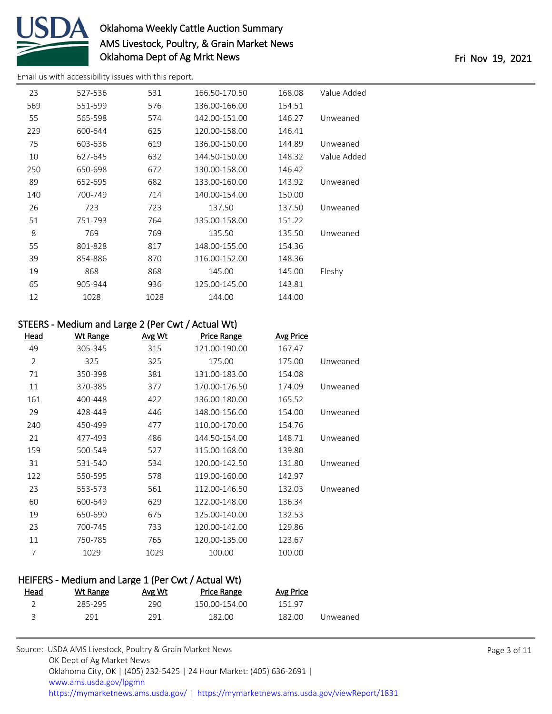

[Email us with accessibility issues with this report.](mailto:mars@ams.usda.gov?subject=508%20issue)

| 23  | 527-536 | 531  | 166.50-170.50 | 168.08 | Value Added |
|-----|---------|------|---------------|--------|-------------|
| 569 | 551-599 | 576  | 136.00-166.00 | 154.51 |             |
| 55  | 565-598 | 574  | 142.00-151.00 | 146.27 | Unweaned    |
| 229 | 600-644 | 625  | 120.00-158.00 | 146.41 |             |
| 75  | 603-636 | 619  | 136.00-150.00 | 144.89 | Unweaned    |
| 10  | 627-645 | 632  | 144.50-150.00 | 148.32 | Value Added |
| 250 | 650-698 | 672  | 130.00-158.00 | 146.42 |             |
| 89  | 652-695 | 682  | 133.00-160.00 | 143.92 | Unweaned    |
| 140 | 700-749 | 714  | 140.00-154.00 | 150.00 |             |
| 26  | 723     | 723  | 137.50        | 137.50 | Unweaned    |
| 51  | 751-793 | 764  | 135.00-158.00 | 151.22 |             |
| 8   | 769     | 769  | 135.50        | 135.50 | Unweaned    |
| 55  | 801-828 | 817  | 148.00-155.00 | 154.36 |             |
| 39  | 854-886 | 870  | 116.00-152.00 | 148.36 |             |
| 19  | 868     | 868  | 145.00        | 145.00 | Fleshy      |
| 65  | 905-944 | 936  | 125.00-145.00 | 143.81 |             |
| 12  | 1028    | 1028 | 144.00        | 144.00 |             |
|     |         |      |               |        |             |

#### STEERS - Medium and Large 2 (Per Cwt / Actual Wt)

| Head           | <b>Wt Range</b> | <u>Avg Wt</u> | <b>Price Range</b> | <b>Avg Price</b> |          |
|----------------|-----------------|---------------|--------------------|------------------|----------|
| 49             | 305-345         | 315           | 121.00-190.00      | 167.47           |          |
| $\overline{2}$ | 325             | 325           | 175.00             | 175.00           | Unweaned |
| 71             | 350-398         | 381           | 131.00-183.00      | 154.08           |          |
| 11             | 370-385         | 377           | 170.00-176.50      | 174.09           | Unweaned |
| 161            | 400-448         | 422           | 136.00-180.00      | 165.52           |          |
| 29             | 428-449         | 446           | 148.00-156.00      | 154.00           | Unweaned |
| 240            | 450-499         | 477           | 110.00-170.00      | 154.76           |          |
| 21             | 477-493         | 486           | 144.50-154.00      | 148.71           | Unweaned |
| 159            | 500-549         | 527           | 115.00-168.00      | 139.80           |          |
| 31             | 531-540         | 534           | 120.00-142.50      | 131.80           | Unweaned |
| 122            | 550-595         | 578           | 119.00-160.00      | 142.97           |          |
| 23             | 553-573         | 561           | 112.00-146.50      | 132.03           | Unweaned |
| 60             | 600-649         | 629           | 122.00-148.00      | 136.34           |          |
| 19             | 650-690         | 675           | 125.00-140.00      | 132.53           |          |
| 23             | 700-745         | 733           | 120.00-142.00      | 129.86           |          |
| 11             | 750-785         | 765           | 120.00-135.00      | 123.67           |          |
| 7              | 1029            | 1029          | 100.00             | 100.00           |          |

#### HEIFERS - Medium and Large 1 (Per Cwt / Actual Wt)<br>Head Wt Bange Avg Wt Price Bange Price Range Avg Price

|          | <b>AVE FILLE</b> | <b>FILLE NOTIKE</b> | <b>AVE VVL</b> | <b>VVL NATILE</b> | <u>icau</u> |
|----------|------------------|---------------------|----------------|-------------------|-------------|
|          | 151.97           | 150.00-154.00       | 290            | 285-295           |             |
| Unweaned | 182.00           | 182.00              | 291            | 291               |             |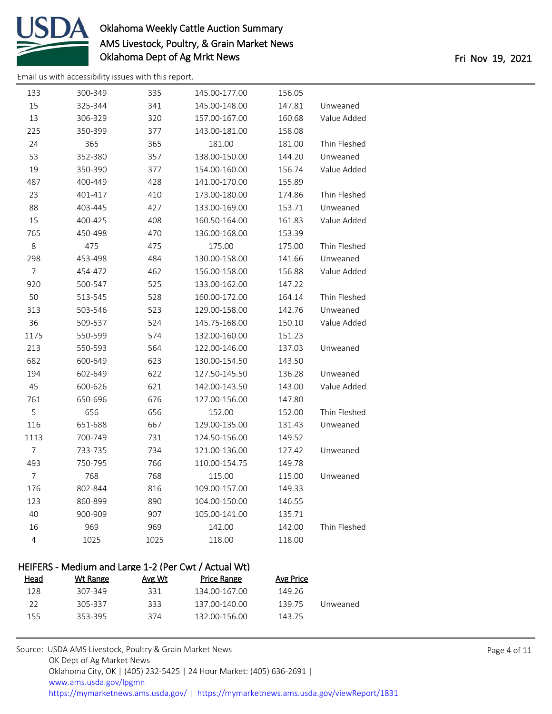

[Email us with accessibility issues with this report.](mailto:mars@ams.usda.gov?subject=508%20issue)

| 133            | 300-349 | 335  | 145.00-177.00 | 156.05 |              |
|----------------|---------|------|---------------|--------|--------------|
| 15             | 325-344 | 341  | 145.00-148.00 | 147.81 | Unweaned     |
| 13             | 306-329 | 320  | 157.00-167.00 | 160.68 | Value Added  |
| 225            | 350-399 | 377  | 143.00-181.00 | 158.08 |              |
| 24             | 365     | 365  | 181.00        | 181.00 | Thin Fleshed |
| 53             | 352-380 | 357  | 138.00-150.00 | 144.20 | Unweaned     |
| 19             | 350-390 | 377  | 154.00-160.00 | 156.74 | Value Added  |
| 487            | 400-449 | 428  | 141.00-170.00 | 155.89 |              |
| 23             | 401-417 | 410  | 173.00-180.00 | 174.86 | Thin Fleshed |
| 88             | 403-445 | 427  | 133.00-169.00 | 153.71 | Unweaned     |
| 15             | 400-425 | 408  | 160.50-164.00 | 161.83 | Value Added  |
| 765            | 450-498 | 470  | 136.00-168.00 | 153.39 |              |
| 8              | 475     | 475  | 175.00        | 175.00 | Thin Fleshed |
| 298            | 453-498 | 484  | 130.00-158.00 | 141.66 | Unweaned     |
| $\overline{7}$ | 454-472 | 462  | 156.00-158.00 | 156.88 | Value Added  |
| 920            | 500-547 | 525  | 133.00-162.00 | 147.22 |              |
| 50             | 513-545 | 528  | 160.00-172.00 | 164.14 | Thin Fleshed |
| 313            | 503-546 | 523  | 129.00-158.00 | 142.76 | Unweaned     |
| 36             | 509-537 | 524  | 145.75-168.00 | 150.10 | Value Added  |
| 1175           | 550-599 | 574  | 132.00-160.00 | 151.23 |              |
| 213            | 550-593 | 564  | 122.00-146.00 | 137.03 | Unweaned     |
| 682            | 600-649 | 623  | 130.00-154.50 | 143.50 |              |
| 194            | 602-649 | 622  | 127.50-145.50 | 136.28 | Unweaned     |
| 45             | 600-626 | 621  | 142.00-143.50 | 143.00 | Value Added  |
| 761            | 650-696 | 676  | 127.00-156.00 | 147.80 |              |
| 5              | 656     | 656  | 152.00        | 152.00 | Thin Fleshed |
| 116            | 651-688 | 667  | 129.00-135.00 | 131.43 | Unweaned     |
| 1113           | 700-749 | 731  | 124.50-156.00 | 149.52 |              |
| $\overline{7}$ | 733-735 | 734  | 121.00-136.00 | 127.42 | Unweaned     |
| 493            | 750-795 | 766  | 110.00-154.75 | 149.78 |              |
| $\overline{7}$ | 768     | 768  | 115.00        | 115.00 | Unweaned     |
| 176            | 802-844 | 816  | 109.00-157.00 | 149.33 |              |
| 123            | 860-899 | 890  | 104.00-150.00 | 146.55 |              |
| 40             | 900-909 | 907  | 105.00-141.00 | 135.71 |              |
| 16             | 969     | 969  | 142.00        | 142.00 | Thin Fleshed |
| $\overline{4}$ | 1025    | 1025 | 118.00        | 118.00 |              |
|                |         |      |               |        |              |

### HEIFERS - Medium and Large 1-2 (Per Cwt / Actual Wt) Head Wt Range Avg Wt Price Range Avg Price 307-349 331 134.00-167.00 149.26 305-337 333 137.00-140.00 139.75 Unweaned 353-395 374 132.00-156.00 143.75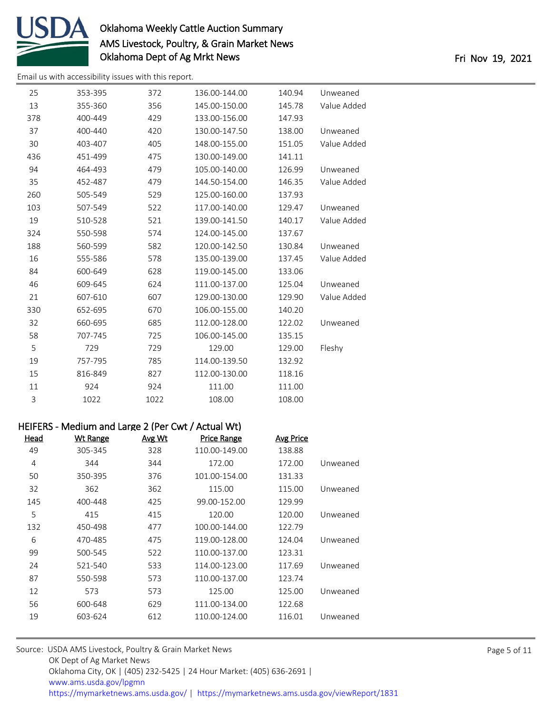

[Email us with accessibility issues with this report.](mailto:mars@ams.usda.gov?subject=508%20issue)

| 25  | 353-395 | 372  | 136.00-144.00 | 140.94 | Unweaned    |
|-----|---------|------|---------------|--------|-------------|
| 13  | 355-360 | 356  | 145.00-150.00 | 145.78 | Value Added |
| 378 | 400-449 | 429  | 133.00-156.00 | 147.93 |             |
| 37  | 400-440 | 420  | 130.00-147.50 | 138.00 | Unweaned    |
| 30  | 403-407 | 405  | 148.00-155.00 | 151.05 | Value Added |
| 436 | 451-499 | 475  | 130.00-149.00 | 141.11 |             |
| 94  | 464-493 | 479  | 105.00-140.00 | 126.99 | Unweaned    |
| 35  | 452-487 | 479  | 144.50-154.00 | 146.35 | Value Added |
| 260 | 505-549 | 529  | 125.00-160.00 | 137.93 |             |
| 103 | 507-549 | 522  | 117.00-140.00 | 129.47 | Unweaned    |
| 19  | 510-528 | 521  | 139.00-141.50 | 140.17 | Value Added |
| 324 | 550-598 | 574  | 124.00-145.00 | 137.67 |             |
| 188 | 560-599 | 582  | 120.00-142.50 | 130.84 | Unweaned    |
| 16  | 555-586 | 578  | 135.00-139.00 | 137.45 | Value Added |
| 84  | 600-649 | 628  | 119.00-145.00 | 133.06 |             |
| 46  | 609-645 | 624  | 111.00-137.00 | 125.04 | Unweaned    |
| 21  | 607-610 | 607  | 129.00-130.00 | 129.90 | Value Added |
| 330 | 652-695 | 670  | 106.00-155.00 | 140.20 |             |
| 32  | 660-695 | 685  | 112.00-128.00 | 122.02 | Unweaned    |
| 58  | 707-745 | 725  | 106.00-145.00 | 135.15 |             |
| 5   | 729     | 729  | 129.00        | 129.00 | Fleshy      |
| 19  | 757-795 | 785  | 114.00-139.50 | 132.92 |             |
| 15  | 816-849 | 827  | 112.00-130.00 | 118.16 |             |
| 11  | 924     | 924  | 111.00        | 111.00 |             |
| 3   | 1022    | 1022 | 108.00        | 108.00 |             |

#### HEIFERS - Medium and Large 2 (Per Cwt / Actual Wt)

| <u>Head</u> | <b>Wt Range</b> | Avg Wt | <b>Price Range</b> | <b>Avg Price</b> |          |
|-------------|-----------------|--------|--------------------|------------------|----------|
| 49          | 305-345         | 328    | 110.00-149.00      | 138.88           |          |
| 4           | 344             | 344    | 172.00             | 172.00           | Unweaned |
| 50          | 350-395         | 376    | 101.00-154.00      | 131.33           |          |
| 32          | 362             | 362    | 115.00             | 115.00           | Unweaned |
| 145         | 400-448         | 425    | 99.00-152.00       | 129.99           |          |
| 5           | 415             | 415    | 120.00             | 120.00           | Unweaned |
| 132         | 450-498         | 477    | 100.00-144.00      | 122.79           |          |
| 6           | 470-485         | 475    | 119.00-128.00      | 124.04           | Unweaned |
| 99          | 500-545         | 522    | 110.00-137.00      | 123.31           |          |
| 24          | 521-540         | 533    | 114.00-123.00      | 117.69           | Unweaned |
| 87          | 550-598         | 573    | 110.00-137.00      | 123.74           |          |
| 12          | 573             | 573    | 125.00             | 125.00           | Unweaned |
| 56          | 600-648         | 629    | 111.00-134.00      | 122.68           |          |
| 19          | 603-624         | 612    | 110.00-124.00      | 116.01           | Unweaned |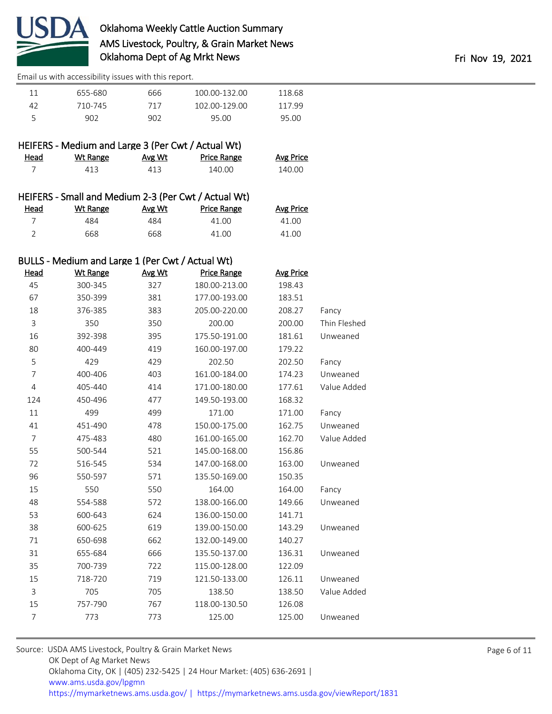

|    | 655-680 | 666 | 100.00-132.00 | 118.68 |  |
|----|---------|-----|---------------|--------|--|
| 47 | 710-745 | 717 | 102.00-129.00 | 11799  |  |
|    | 902     | 902 | 95.00         | 95.00  |  |

|      |          | HEIFERS - Medium and Large 3 (Per Cwt / Actual Wt) |             |
|------|----------|----------------------------------------------------|-------------|
| Head | Wt Range | Avg Wt                                             | Price Range |

| ead<br>______ | Wt Range | Avg Wt | Price Range | <b>Avg Price</b> |
|---------------|----------|--------|-------------|------------------|
|               | 413      | 413    | 140.00      | 140.00           |

|          |                 |       | HEIFERS - Small and Medium 2-3 (Per Cwt / Actual Wt) |
|----------|-----------------|-------|------------------------------------------------------|
| المممللة | $M/L$ $D - - -$ | 1.111 | Datas Damas                                          |

|      | $11$ ch choronique direction in $\epsilon$ or the case $\epsilon$ and $\epsilon$ |        |                    |                  |  |
|------|----------------------------------------------------------------------------------|--------|--------------------|------------------|--|
| Head | Wt Range                                                                         | Avg Wt | <b>Price Range</b> | <b>Avg Price</b> |  |
|      | 484                                                                              | 484    | 41 OO              | 41.00            |  |
|      | 668                                                                              | 668    | 41.00              | 41.00            |  |

# BULLS - Medium and Large 1 (Per Cwt / Actual Wt)

| <b>Head</b>    | <b>Wt Range</b> | Avg Wt | <b>Price Range</b> | <b>Avg Price</b> |              |
|----------------|-----------------|--------|--------------------|------------------|--------------|
| 45             | 300-345         | 327    | 180.00-213.00      | 198.43           |              |
| 67             | 350-399         | 381    | 177.00-193.00      | 183.51           |              |
| 18             | 376-385         | 383    | 205.00-220.00      | 208.27           | Fancy        |
| 3              | 350             | 350    | 200.00             | 200.00           | Thin Fleshed |
| 16             | 392-398         | 395    | 175.50-191.00      | 181.61           | Unweaned     |
| 80             | 400-449         | 419    | 160.00-197.00      | 179.22           |              |
| 5              | 429             | 429    | 202.50             | 202.50           | Fancy        |
| $\overline{7}$ | 400-406         | 403    | 161.00-184.00      | 174.23           | Unweaned     |
| 4              | 405-440         | 414    | 171.00-180.00      | 177.61           | Value Added  |
| 124            | 450-496         | 477    | 149.50-193.00      | 168.32           |              |
| 11             | 499             | 499    | 171.00             | 171.00           | Fancy        |
| 41             | 451-490         | 478    | 150.00-175.00      | 162.75           | Unweaned     |
| $\overline{7}$ | 475-483         | 480    | 161.00-165.00      | 162.70           | Value Added  |
| 55             | 500-544         | 521    | 145.00-168.00      | 156.86           |              |
| 72             | 516-545         | 534    | 147.00-168.00      | 163.00           | Unweaned     |
| 96             | 550-597         | 571    | 135.50-169.00      | 150.35           |              |
| 15             | 550             | 550    | 164.00             | 164.00           | Fancy        |
| 48             | 554-588         | 572    | 138.00-166.00      | 149.66           | Unweaned     |
| 53             | 600-643         | 624    | 136.00-150.00      | 141.71           |              |
| 38             | 600-625         | 619    | 139.00-150.00      | 143.29           | Unweaned     |
| 71             | 650-698         | 662    | 132.00-149.00      | 140.27           |              |
| 31             | 655-684         | 666    | 135.50-137.00      | 136.31           | Unweaned     |
| 35             | 700-739         | 722    | 115.00-128.00      | 122.09           |              |
| 15             | 718-720         | 719    | 121.50-133.00      | 126.11           | Unweaned     |
| 3              | 705             | 705    | 138.50             | 138.50           | Value Added  |
| 15             | 757-790         | 767    | 118.00-130.50      | 126.08           |              |
| 7              | 773             | 773    | 125.00             | 125.00           | Unweaned     |
|                |                 |        |                    |                  |              |

| Source: USDA AMS Livestock, Poultry & Grain Market News                                |
|----------------------------------------------------------------------------------------|
| OK Dept of Ag Market News                                                              |
| Oklahoma City, OK   (405) 232-5425   24 Hour Market: (405) 636-2691                    |
| www.ams.usda.gov/lpgmn                                                                 |
| https://mymarketnews.ams.usda.gov/   https://mymarketnews.ams.usda.gov/viewReport/1831 |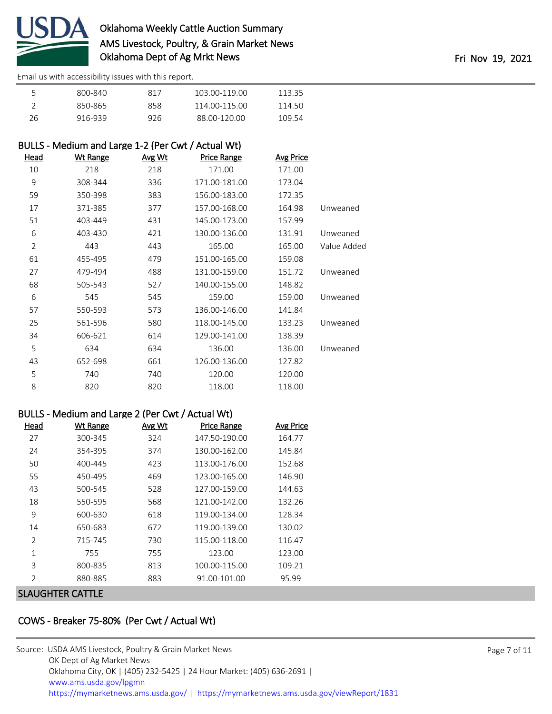

|    | 800-840 | 817 | 103 00-119 00 | 113.35 |
|----|---------|-----|---------------|--------|
|    | 850-865 | 858 | 114.00-115.00 | 114 50 |
| 26 | 916-939 | 926 | 88.00-120.00  | 109.54 |

# BULLS - Medium and Large 1-2 (Per Cwt / Actual Wt)

| <u>Head</u>    | <b>Wt Range</b> | Avg Wt | <b>Price Range</b> | <b>Avg Price</b> |             |
|----------------|-----------------|--------|--------------------|------------------|-------------|
| 10             | 218             | 218    | 171.00             | 171.00           |             |
| 9              | 308-344         | 336    | 171.00-181.00      | 173.04           |             |
| 59             | 350-398         | 383    | 156.00-183.00      | 172.35           |             |
| 17             | 371-385         | 377    | 157.00-168.00      | 164.98           | Unweaned    |
| 51             | 403-449         | 431    | 145.00-173.00      | 157.99           |             |
| 6              | 403-430         | 421    | 130.00-136.00      | 131.91           | Unweaned    |
| $\overline{2}$ | 443             | 443    | 165.00             | 165.00           | Value Added |
| 61             | 455-495         | 479    | 151.00-165.00      | 159.08           |             |
| 27             | 479-494         | 488    | 131.00-159.00      | 151.72           | Unweaned    |
| 68             | 505-543         | 527    | 140.00-155.00      | 148.82           |             |
| 6              | 545             | 545    | 159.00             | 159.00           | Unweaned    |
| 57             | 550-593         | 573    | 136.00-146.00      | 141.84           |             |
| 25             | 561-596         | 580    | 118.00-145.00      | 133.23           | Unweaned    |
| 34             | 606-621         | 614    | 129.00-141.00      | 138.39           |             |
| 5              | 634             | 634    | 136.00             | 136.00           | Unweaned    |
| 43             | 652-698         | 661    | 126.00-136.00      | 127.82           |             |
| 5              | 740             | 740    | 120.00             | 120.00           |             |
| 8              | 820             | 820    | 118.00             | 118.00           |             |

### BULLS - Medium and Large 2 (Per Cwt / Actual Wt)

| Head           | <b>Wt Range</b> | Avg Wt | <b>Price Range</b> | Avg Price |
|----------------|-----------------|--------|--------------------|-----------|
|                |                 |        |                    |           |
| 27             | 300-345         | 324    | 147.50-190.00      | 164.77    |
| 24             | 354-395         | 374    | 130.00-162.00      | 145.84    |
| 50             | 400-445         | 423    | 113.00-176.00      | 152.68    |
| 55             | 450-495         | 469    | 123.00-165.00      | 146.90    |
| 43             | 500-545         | 528    | 127.00-159.00      | 144.63    |
| 18             | 550-595         | 568    | 121.00-142.00      | 132.26    |
| 9              | 600-630         | 618    | 119.00-134.00      | 128.34    |
| 14             | 650-683         | 672    | 119.00-139.00      | 130.02    |
| $\overline{2}$ | 715-745         | 730    | 115.00-118.00      | 116.47    |
| $\mathbf{1}$   | 755             | 755    | 123.00             | 123.00    |
| 3              | 800-835         | 813    | 100.00-115.00      | 109.21    |
| $\overline{2}$ | 880-885         | 883    | 91.00-101.00       | 95.99     |
|                |                 |        |                    |           |

#### SLAUGHTER CATTLE

# COWS - Breaker 75-80% (Per Cwt / Actual Wt)

| Source: USDA AMS Livestock, Poultry & Grain Market News                                |
|----------------------------------------------------------------------------------------|
| OK Dept of Ag Market News                                                              |
| Oklahoma City, OK   (405) 232-5425   24 Hour Market: (405) 636-2691                    |
| www.ams.usda.gov/lpgmn                                                                 |
| https://mymarketnews.ams.usda.gov/   https://mymarketnews.ams.usda.gov/viewReport/1831 |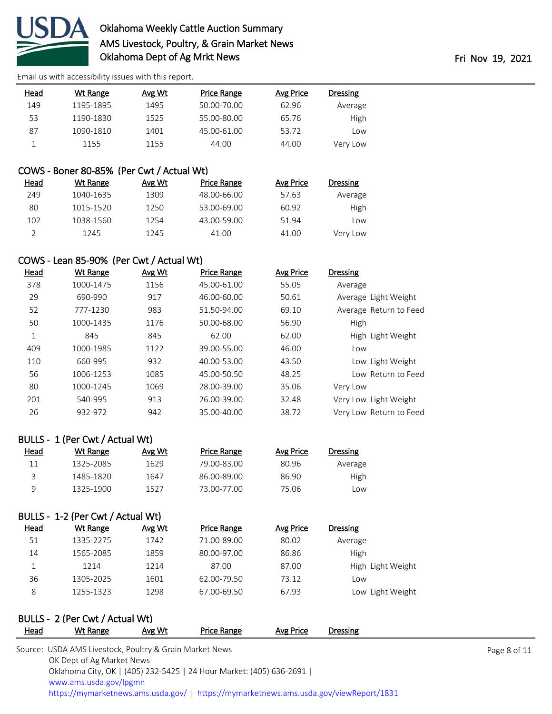

[Email us with accessibility issues with this report.](mailto:mars@ams.usda.gov?subject=508%20issue)

| Head | Wt Range  | Avg Wt | Price Range | Avg Price | Dressing |
|------|-----------|--------|-------------|-----------|----------|
| 149  | 1195-1895 | 1495   | 50.00-70.00 | 62.96     | Average  |
| 53   | 1190-1830 | 1525   | 55.00-80.00 | 65.76     | High     |
| 87   | 1090-1810 | 1401   | 45.00-61.00 | 53.72     | LOW      |
|      | 1155      | 1155   | 44.00       | 44.00     | Very Low |

### COWS - Boner 80-85% (Per Cwt / Actual Wt)

| Head | Wt Range  | Avg Wt | Price Range | Avg Price | Dressing |
|------|-----------|--------|-------------|-----------|----------|
| 249  | 1040-1635 | 1309   | 48.00-66.00 | 57.63     | Average  |
| 80   | 1015-1520 | 1250   | 53.00-69.00 | 60.92     | High     |
| 102  | 1038-1560 | 1254   | 43.00-59.00 | 51.94     | Low      |
|      | 1245      | 1245   | 41.00       | 41.00     | Very Low |

## COWS - Lean 85-90% (Per Cwt / Actual Wt)

| Head | Wt Range  | Avg Wt | <b>Price Range</b> | <b>Avg Price</b> | <b>Dressing</b>         |
|------|-----------|--------|--------------------|------------------|-------------------------|
| 378  | 1000-1475 | 1156   | 45.00-61.00        | 55.05            | Average                 |
| 29   | 690-990   | 917    | 46.00-60.00        | 50.61            | Average Light Weight    |
| 52   | 777-1230  | 983    | 51.50-94.00        | 69.10            | Average Return to Feed  |
| 50   | 1000-1435 | 1176   | 50.00-68.00        | 56.90            | High                    |
| 1    | 845       | 845    | 62.00              | 62.00            | High Light Weight       |
| 409  | 1000-1985 | 1122   | 39.00-55.00        | 46.00            | Low                     |
| 110  | 660-995   | 932    | 40.00-53.00        | 43.50            | Low Light Weight        |
| 56   | 1006-1253 | 1085   | 45.00-50.50        | 48.25            | Low Return to Feed      |
| 80   | 1000-1245 | 1069   | 28.00-39.00        | 35.06            | Very Low                |
| 201  | 540-995   | 913    | 26.00-39.00        | 32.48            | Very Low Light Weight   |
| 26   | 932-972   | 942    | 35.00-40.00        | 38.72            | Very Low Return to Feed |

### BULLS - 1 (Per Cwt / Actual Wt)

| Head | Wt Range  | Avg Wt | Price Range | Avg Price | Dressing |
|------|-----------|--------|-------------|-----------|----------|
|      | 1325-2085 | 1629   | 79.00-83.00 | 80.96     | Average  |
|      | 1485-1820 | 1647   | 86.00-89.00 | 86.90     | High     |
| a    | 1325-1900 | 1527   | 73.00-77.00 | 75.06     | Low      |

### BULLS - 1-2 (Per Cwt / Actual Wt)

| <b>Head</b> | Wt Range  | Avg Wt | Price Range | Avg Price | <b>Dressing</b>   |
|-------------|-----------|--------|-------------|-----------|-------------------|
| 51          | 1335-2275 | 1742   | 71.00-89.00 | 80.02     | Average           |
| 14          | 1565-2085 | 1859   | 80.00-97.00 | 86.86     | <b>High</b>       |
|             | 1214      | 1214   | 87.00       | 87.00     | High Light Weight |
| 36          | 1305-2025 | 1601   | 62.00-79.50 | 73.12     | Low               |
| 8           | 1255-1323 | 1298   | 67.00-69.50 | 67.93     | Low Light Weight  |

# BULLS - 2 (Per Cwt / Actual Wt)

| <b>Head</b> | Wt Range                                                            | Avg Wt | Price Range | Avg Price | <b>Dressing</b>                                                                        |              |
|-------------|---------------------------------------------------------------------|--------|-------------|-----------|----------------------------------------------------------------------------------------|--------------|
|             | Source: USDA AMS Livestock, Poultry & Grain Market News             |        |             |           |                                                                                        | Page 8 of 11 |
|             | OK Dept of Ag Market News                                           |        |             |           |                                                                                        |              |
|             | Oklahoma City, OK   (405) 232-5425   24 Hour Market: (405) 636-2691 |        |             |           |                                                                                        |              |
|             | www.ams.usda.gov/lpgmn                                              |        |             |           |                                                                                        |              |
|             |                                                                     |        |             |           | https://mymarketnews.ams.usda.gov/   https://mymarketnews.ams.usda.gov/viewReport/1831 |              |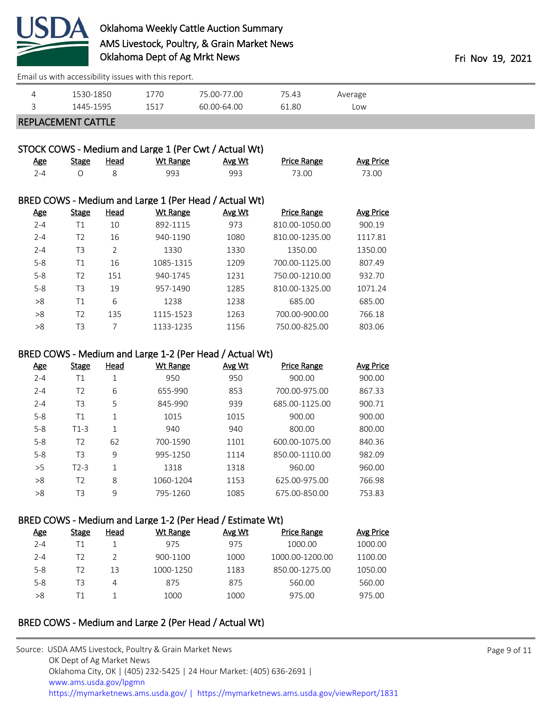

[Email us with accessibility issues with this report.](mailto:mars@ams.usda.gov?subject=508%20issue)

| <b>EQE</b><br>1C1フ<br>-64 NN<br>1.80<br>∽<br>$\sim$ 1<br>∟OW<br>∶∟∆4، ا<br>60.001<br>-<br>∸∽∸ | ▃ | $Q \Gamma C$ | 770 | -- | . ⊿?<br>$7 - 7 - 7$ | Average |
|-----------------------------------------------------------------------------------------------|---|--------------|-----|----|---------------------|---------|
|                                                                                               |   |              |     |    |                     |         |

### REPLACEMENT CATTLE

# STOCK COWS - Medium and Large 1 (Per Cwt / Actual Wt)

| <u>Age</u> | <u>Stage</u> | <u>Head</u> | <u>Wt Range</u> | Avg Wt | <b>Price Range</b> | <b>Avg Price</b> |
|------------|--------------|-------------|-----------------|--------|--------------------|------------------|
| $2 - 4$    |              |             | 993             | 993    | 73.00              | 73.00            |

#### BRED COWS - Medium and Large 1 (Per Head / Actual Wt)

| <b>Age</b> | <b>Stage</b> | Head           | <b>Wt Range</b> | Avg Wt | <b>Price Range</b> | Avg Price |
|------------|--------------|----------------|-----------------|--------|--------------------|-----------|
| $2 - 4$    | Τ1           | 10             | 892-1115        | 973    | 810.00-1050.00     | 900.19    |
| $2 - 4$    | T2           | 16             | 940-1190        | 1080   | 810.00-1235.00     | 1117.81   |
| $2 - 4$    | T3           | $\overline{2}$ | 1330            | 1330   | 1350.00            | 1350.00   |
| $5 - 8$    | Τ1           | 16             | 1085-1315       | 1209   | 700.00-1125.00     | 807.49    |
| $5 - 8$    | T2           | 151            | 940-1745        | 1231   | 750.00-1210.00     | 932.70    |
| $5 - 8$    | T3           | 19             | 957-1490        | 1285   | 810.00-1325.00     | 1071.24   |
| >8         | Τ1           | 6              | 1238            | 1238   | 685.00             | 685.00    |
| >8         | T2           | 135            | 1115-1523       | 1263   | 700.00-900.00      | 766.18    |
| >8         | T3           | 7              | 1133-1235       | 1156   | 750.00-825.00      | 803.06    |

### BRED COWS - Medium and Large 1-2 (Per Head / Actual Wt)

| <u>Age</u> | <b>Stage</b> | Head | Wt Range  | Avg Wt | <b>Price Range</b> | <b>Avg Price</b> |
|------------|--------------|------|-----------|--------|--------------------|------------------|
| $2 - 4$    | Τ1           | 1    | 950       | 950    | 900.00             | 900.00           |
| $2 - 4$    | T2           | 6    | 655-990   | 853    | 700.00-975.00      | 867.33           |
| $2 - 4$    | T3           | 5    | 845-990   | 939    | 685.00-1125.00     | 900.71           |
| $5 - 8$    | Τ1           | 1    | 1015      | 1015   | 900.00             | 900.00           |
| $5 - 8$    | $T1-3$       | 1    | 940       | 940    | 800.00             | 800.00           |
| $5 - 8$    | T2           | 62   | 700-1590  | 1101   | 600.00-1075.00     | 840.36           |
| $5 - 8$    | T3           | 9    | 995-1250  | 1114   | 850.00-1110.00     | 982.09           |
| >5         | $T2-3$       | 1    | 1318      | 1318   | 960.00             | 960.00           |
| >8         | T2           | 8    | 1060-1204 | 1153   | 625.00-975.00      | 766.98           |
| >8         | T3           | 9    | 795-1260  | 1085   | 675.00-850.00      | 753.83           |
|            |              |      |           |        |                    |                  |

## BRED COWS - Medium and Large 1-2 (Per Head / Estimate Wt)

| <u>Age</u> | <b>Stage</b> | Head | <u>Wt Range</u> | Avg Wt | <b>Price Range</b> | Avg Price |
|------------|--------------|------|-----------------|--------|--------------------|-----------|
| $2 - 4$    |              |      | 975             | 975    | 1000.00            | 1000.00   |
| $2 - 4$    | T2           |      | 900-1100        | 1000   | 1000.00-1200.00    | 1100.00   |
| $5 - 8$    | T2           | 13   | 1000-1250       | 1183   | 850.00-1275.00     | 1050.00   |
| $5 - 8$    | TЗ           | 4    | 875             | 875    | 560.00             | 560.00    |
| >8         |              |      | 1000            | 1000   | 975.00             | 975.00    |

# BRED COWS - Medium and Large 2 (Per Head / Actual Wt)

| Source: USDA AMS Livestock, Poultry & Grain Market News                                |
|----------------------------------------------------------------------------------------|
| OK Dept of Ag Market News                                                              |
| Oklahoma City, OK   (405) 232-5425   24 Hour Market: (405) 636-2691                    |
| www.ams.usda.gov/lpgmn                                                                 |
| https://mymarketnews.ams.usda.gov/   https://mymarketnews.ams.usda.gov/viewReport/1831 |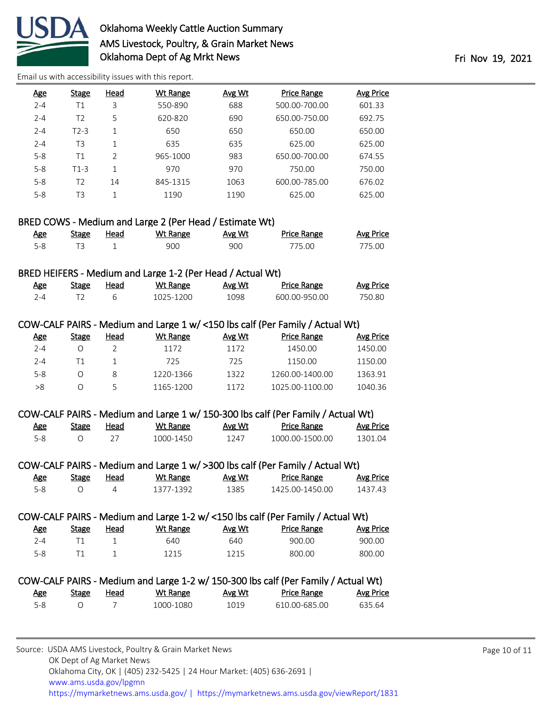

[Email us with accessibility issues with this report.](mailto:mars@ams.usda.gov?subject=508%20issue)

| <u>Age</u> | <b>Stage</b> | Head           | Wt Range | Avg Wt | <b>Price Range</b> | Avg Price |
|------------|--------------|----------------|----------|--------|--------------------|-----------|
| $2 - 4$    | Τ1           | 3              | 550-890  | 688    | 500.00-700.00      | 601.33    |
| $2 - 4$    | T2           | 5              | 620-820  | 690    | 650.00-750.00      | 692.75    |
| $2 - 4$    | $T2-3$       |                | 650      | 650    | 650.00             | 650.00    |
| $2 - 4$    | T3           | 1              | 635      | 635    | 625.00             | 625.00    |
| $5 - 8$    | Т1           | $\overline{2}$ | 965-1000 | 983    | 650.00-700.00      | 674.55    |
| $5 - 8$    | $T1-3$       | 1              | 970      | 970    | 750.00             | 750.00    |
| $5 - 8$    | T2           | 14             | 845-1315 | 1063   | 600.00-785.00      | 676.02    |
| $5 - 8$    | T3           |                | 1190     | 1190   | 625.00             | 625.00    |

## BRED COWS - Medium and Large 2 (Per Head / Estimate Wt)

| <u>Age</u> | <b>Stage</b> | Head | Wt Range | <b>Avg Wt</b> | Price Range | <b>Avg Price</b> |
|------------|--------------|------|----------|---------------|-------------|------------------|
| 5-8        |              |      | 900      | 900           | 775.00      | 775.00           |

## BRED HEIFERS - Medium and Large 1-2 (Per Head / Actual Wt)

| <u>Age</u> | Stage | Head | Wt Range  | Avg Wt | Price Range   | Avg Price |
|------------|-------|------|-----------|--------|---------------|-----------|
| י ⊿        |       |      | 1025-1200 | 1098   | 600 00-950 00 | 750.80    |

#### COW-CALF PAIRS - Medium and Large 1 w/ <150 lbs calf (Per Family / Actual Wt)

| Age   | Stage | Head | Wt Range  | Avg Wt | <b>Price Range</b> | Avg Price |
|-------|-------|------|-----------|--------|--------------------|-----------|
| 2-4   |       |      | 1172      | 1172   | 1450.00            | 1450.00   |
| 2-4   |       |      | 725       | 725    | 1150.00            | 1150.00   |
| $5-8$ |       |      | 1220-1366 | 1322   | 1260.00-1400.00    | 1363.91   |
| >8    |       |      | 1165-1200 | 1172   | 1025.00-1100.00    | 1040.36   |
|       |       |      |           |        |                    |           |

#### COW-CALF PAIRS - Medium and Large 1 w/ 150-300 lbs calf (Per Family / Actual Wt)

| <u>Age</u> | Stage | Head | Wt Range  | Avg Wt | <b>Price Range</b> | <b>Avg Price</b> |
|------------|-------|------|-----------|--------|--------------------|------------------|
| 5-8        |       |      | 1000-1450 | 1247   | 1000.00-1500.00    | 1301.04          |

### COW-CALF PAIRS - Medium and Large 1 w/ >300 lbs calf (Per Family / Actual Wt)

| <u>Age</u> | <b>Stage</b> | Head | Wt Range  | Avg Wt | <b>Price Range</b> | Avg Price |
|------------|--------------|------|-----------|--------|--------------------|-----------|
| 5-8        |              |      | 1377-1392 | 1385   | 1425.00-1450.00    | 1437.43   |

#### COW-CALF PAIRS - Medium and Large 1-2 w/ <150 lbs calf (Per Family / Actual Wt)

| Age     | Stage | <u>Head</u> | Wt Range | <b>Avg Wt</b> | <b>Price Range</b> | Avg Price |
|---------|-------|-------------|----------|---------------|--------------------|-----------|
| $2 - 4$ |       |             | 640      | 640           | 900.00             | 900.00    |
| 5-8     |       |             | 1215     | 1215          | 800.00             | 800.00    |

#### COW-CALF PAIRS - Medium and Large 1-2 w/ 150-300 lbs calf (Per Family / Actual Wt) Age Stage Head Wt Range Avg Wt Price Range Avg Price 5-8 O 7 1000-1080 1019 610.00-685.00 635.64